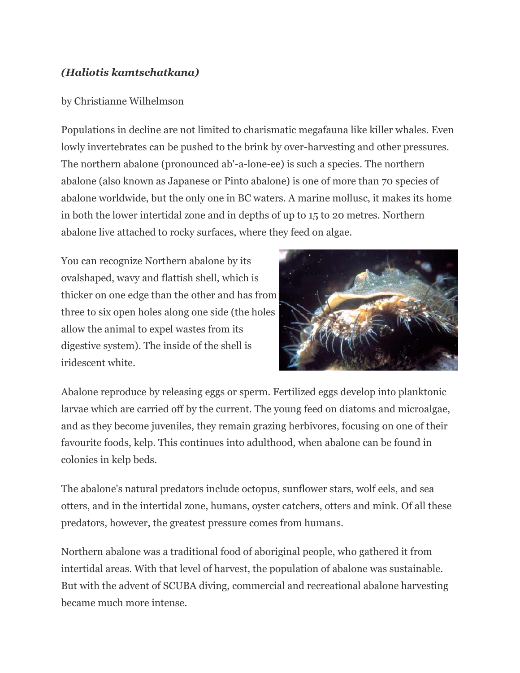## *(Haliotis kamtschatkana)*

## by Christianne Wilhelmson

Populations in decline are not limited to charismatic megafauna like killer whales. Even lowly invertebrates can be pushed to the brink by over-harvesting and other pressures. The northern abalone (pronounced ab'-a-lone-ee) is such a species. The northern abalone (also known as Japanese or Pinto abalone) is one of more than 70 species of abalone worldwide, but the only one in BC waters. A marine mollusc, it makes its home in both the lower intertidal zone and in depths of up to 15 to 20 metres. Northern abalone live attached to rocky surfaces, where they feed on algae.

You can recognize Northern abalone by its ovalshaped, wavy and flattish shell, which is thicker on one edge than the other and has from three to six open holes along one side (the holes allow the animal to expel wastes from its digestive system). The inside of the shell is iridescent white.



Abalone reproduce by releasing eggs or sperm. Fertilized eggs develop into planktonic larvae which are carried off by the current. The young feed on diatoms and microalgae, and as they become juveniles, they remain grazing herbivores, focusing on one of their favourite foods, kelp. This continues into adulthood, when abalone can be found in colonies in kelp beds.

The abalone's natural predators include octopus, sunflower stars, wolf eels, and sea otters, and in the intertidal zone, humans, oyster catchers, otters and mink. Of all these predators, however, the greatest pressure comes from humans.

Northern abalone was a traditional food of aboriginal people, who gathered it from intertidal areas. With that level of harvest, the population of abalone was sustainable. But with the advent of SCUBA diving, commercial and recreational abalone harvesting became much more intense.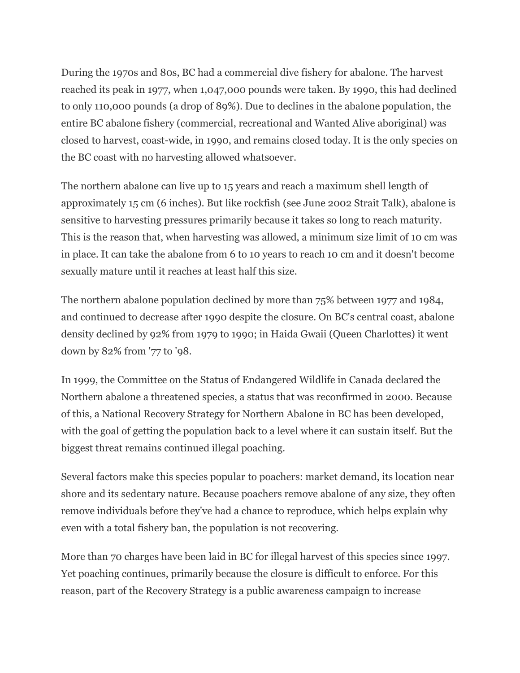During the 1970s and 80s, BC had a commercial dive fishery for abalone. The harvest reached its peak in 1977, when 1,047,000 pounds were taken. By 1990, this had declined to only 110,000 pounds (a drop of 89%). Due to declines in the abalone population, the entire BC abalone fishery (commercial, recreational and Wanted Alive aboriginal) was closed to harvest, coast-wide, in 1990, and remains closed today. It is the only species on the BC coast with no harvesting allowed whatsoever.

The northern abalone can live up to 15 years and reach a maximum shell length of approximately 15 cm (6 inches). But like rockfish (see June 2002 Strait Talk), abalone is sensitive to harvesting pressures primarily because it takes so long to reach maturity. This is the reason that, when harvesting was allowed, a minimum size limit of 10 cm was in place. It can take the abalone from 6 to 10 years to reach 10 cm and it doesn't become sexually mature until it reaches at least half this size.

The northern abalone population declined by more than 75% between 1977 and 1984, and continued to decrease after 1990 despite the closure. On BC's central coast, abalone density declined by 92% from 1979 to 1990; in Haida Gwaii (Queen Charlottes) it went down by 82% from '77 to '98.

In 1999, the Committee on the Status of Endangered Wildlife in Canada declared the Northern abalone a threatened species, a status that was reconfirmed in 2000. Because of this, a National Recovery Strategy for Northern Abalone in BC has been developed, with the goal of getting the population back to a level where it can sustain itself. But the biggest threat remains continued illegal poaching.

Several factors make this species popular to poachers: market demand, its location near shore and its sedentary nature. Because poachers remove abalone of any size, they often remove individuals before they've had a chance to reproduce, which helps explain why even with a total fishery ban, the population is not recovering.

More than 70 charges have been laid in BC for illegal harvest of this species since 1997. Yet poaching continues, primarily because the closure is difficult to enforce. For this reason, part of the Recovery Strategy is a public awareness campaign to increase